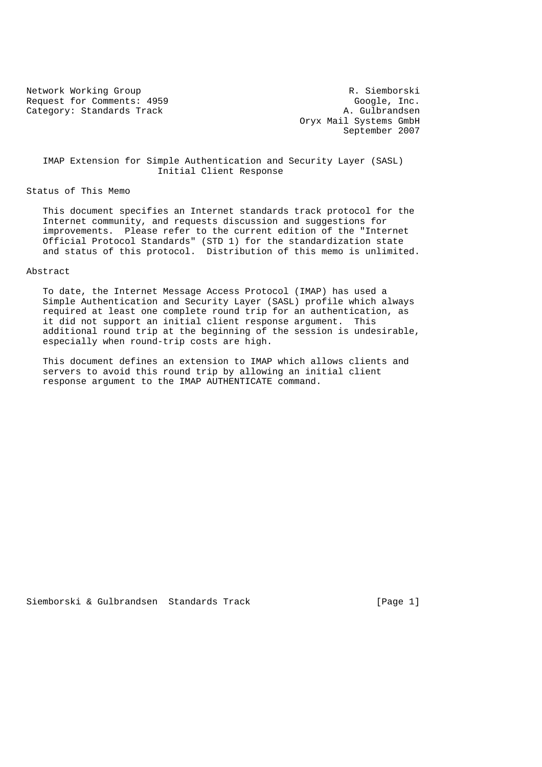Request for Comments: 4959 Google, Inc. Category: Standards Track A. Gulbrandsen

Network Working Group **R. Siemborski**  Oryx Mail Systems GmbH September 2007

 IMAP Extension for Simple Authentication and Security Layer (SASL) Initial Client Response

Status of This Memo

 This document specifies an Internet standards track protocol for the Internet community, and requests discussion and suggestions for improvements. Please refer to the current edition of the "Internet Official Protocol Standards" (STD 1) for the standardization state and status of this protocol. Distribution of this memo is unlimited.

## Abstract

 To date, the Internet Message Access Protocol (IMAP) has used a Simple Authentication and Security Layer (SASL) profile which always required at least one complete round trip for an authentication, as it did not support an initial client response argument. This additional round trip at the beginning of the session is undesirable, especially when round-trip costs are high.

 This document defines an extension to IMAP which allows clients and servers to avoid this round trip by allowing an initial client response argument to the IMAP AUTHENTICATE command.

Siemborski & Gulbrandsen Standards Track [Page 1]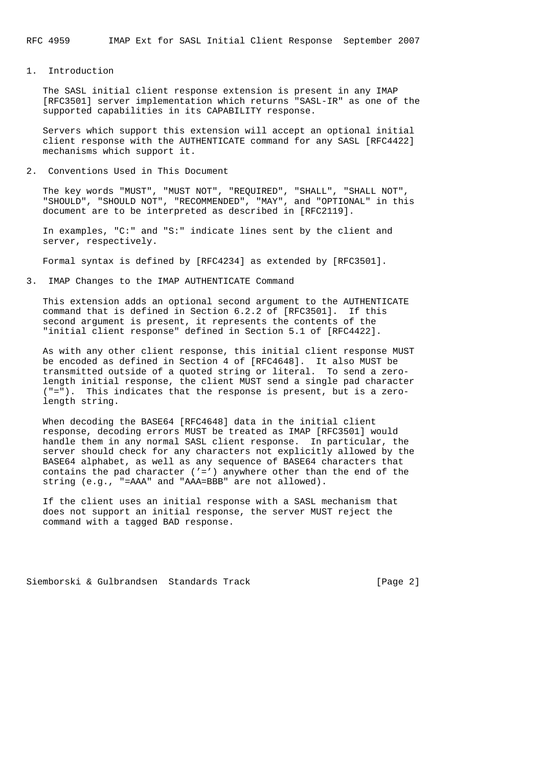1. Introduction

 The SASL initial client response extension is present in any IMAP [RFC3501] server implementation which returns "SASL-IR" as one of the supported capabilities in its CAPABILITY response.

 Servers which support this extension will accept an optional initial client response with the AUTHENTICATE command for any SASL [RFC4422] mechanisms which support it.

2. Conventions Used in This Document

 The key words "MUST", "MUST NOT", "REQUIRED", "SHALL", "SHALL NOT", "SHOULD", "SHOULD NOT", "RECOMMENDED", "MAY", and "OPTIONAL" in this document are to be interpreted as described in [RFC2119].

 In examples, "C:" and "S:" indicate lines sent by the client and server, respectively.

Formal syntax is defined by [RFC4234] as extended by [RFC3501].

3. IMAP Changes to the IMAP AUTHENTICATE Command

 This extension adds an optional second argument to the AUTHENTICATE command that is defined in Section 6.2.2 of [RFC3501]. If this second argument is present, it represents the contents of the "initial client response" defined in Section 5.1 of [RFC4422].

 As with any other client response, this initial client response MUST be encoded as defined in Section 4 of [RFC4648]. It also MUST be transmitted outside of a quoted string or literal. To send a zero length initial response, the client MUST send a single pad character ("="). This indicates that the response is present, but is a zero length string.

 When decoding the BASE64 [RFC4648] data in the initial client response, decoding errors MUST be treated as IMAP [RFC3501] would handle them in any normal SASL client response. In particular, the server should check for any characters not explicitly allowed by the BASE64 alphabet, as well as any sequence of BASE64 characters that contains the pad character  $('='')$  anywhere other than the end of the string (e.g., "=AAA" and "AAA=BBB" are not allowed).

 If the client uses an initial response with a SASL mechanism that does not support an initial response, the server MUST reject the command with a tagged BAD response.

Siemborski & Gulbrandsen Standards Track [Page 2]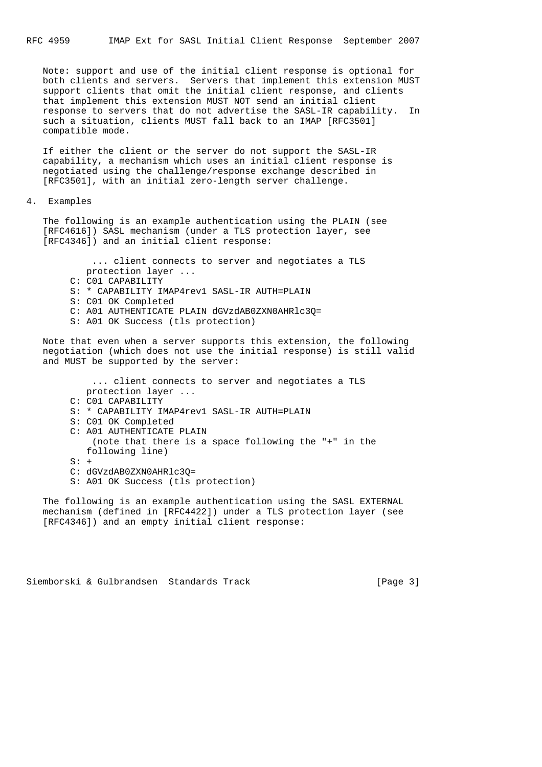Note: support and use of the initial client response is optional for both clients and servers. Servers that implement this extension MUST support clients that omit the initial client response, and clients that implement this extension MUST NOT send an initial client response to servers that do not advertise the SASL-IR capability. In such a situation, clients MUST fall back to an IMAP [RFC3501] compatible mode.

 If either the client or the server do not support the SASL-IR capability, a mechanism which uses an initial client response is negotiated using the challenge/response exchange described in [RFC3501], with an initial zero-length server challenge.

4. Examples

 The following is an example authentication using the PLAIN (see [RFC4616]) SASL mechanism (under a TLS protection layer, see [RFC4346]) and an initial client response:

 ... client connects to server and negotiates a TLS protection layer ... C: C01 CAPABILITY S: \* CAPABILITY IMAP4rev1 SASL-IR AUTH=PLAIN S: C01 OK Completed C: A01 AUTHENTICATE PLAIN dGVzdAB0ZXN0AHRlc3Q= S: A01 OK Success (tls protection)

 Note that even when a server supports this extension, the following negotiation (which does not use the initial response) is still valid and MUST be supported by the server:

 ... client connects to server and negotiates a TLS protection layer ... C: C01 CAPABILITY S: \* CAPABILITY IMAP4rev1 SASL-IR AUTH=PLAIN S: C01 OK Completed C: A01 AUTHENTICATE PLAIN (note that there is a space following the "+" in the following line)  $S: +$  C: dGVzdAB0ZXN0AHRlc3Q= S: A01 OK Success (tls protection)

 The following is an example authentication using the SASL EXTERNAL mechanism (defined in [RFC4422]) under a TLS protection layer (see [RFC4346]) and an empty initial client response:

Siemborski & Gulbrandsen Standards Track [Page 3]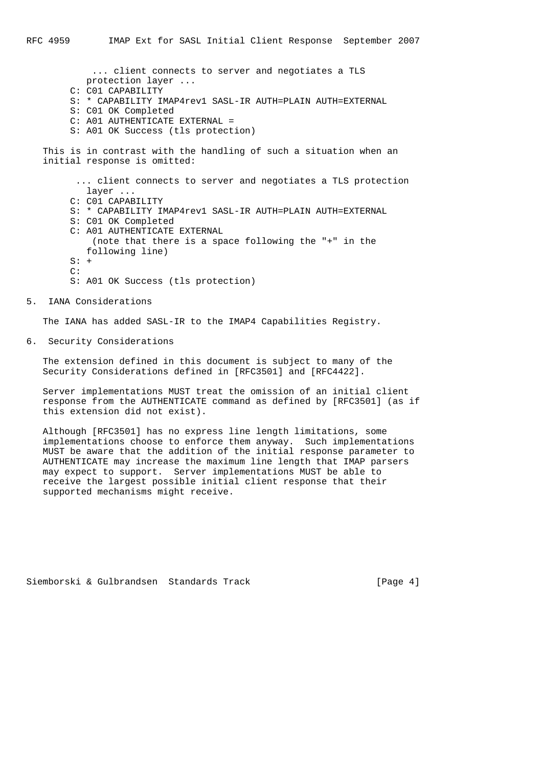... client connects to server and negotiates a TLS protection layer ... C: C01 CAPABILITY S: \* CAPABILITY IMAP4rev1 SASL-IR AUTH=PLAIN AUTH=EXTERNAL S: C01 OK Completed C: A01 AUTHENTICATE EXTERNAL = S: A01 OK Success (tls protection) This is in contrast with the handling of such a situation when an initial response is omitted: ... client connects to server and negotiates a TLS protection layer ... C: C01 CAPABILITY S: \* CAPABILITY IMAP4rev1 SASL-IR AUTH=PLAIN AUTH=EXTERNAL S: C01 OK Completed C: A01 AUTHENTICATE EXTERNAL (note that there is a space following the "+" in the following line)  $S: +$  C: S: A01 OK Success (tls protection)

5. IANA Considerations

The IANA has added SASL-IR to the IMAP4 Capabilities Registry.

6. Security Considerations

 The extension defined in this document is subject to many of the Security Considerations defined in [RFC3501] and [RFC4422].

 Server implementations MUST treat the omission of an initial client response from the AUTHENTICATE command as defined by [RFC3501] (as if this extension did not exist).

 Although [RFC3501] has no express line length limitations, some implementations choose to enforce them anyway. Such implementations MUST be aware that the addition of the initial response parameter to AUTHENTICATE may increase the maximum line length that IMAP parsers may expect to support. Server implementations MUST be able to receive the largest possible initial client response that their supported mechanisms might receive.

Siemborski & Gulbrandsen Standards Track [Page 4]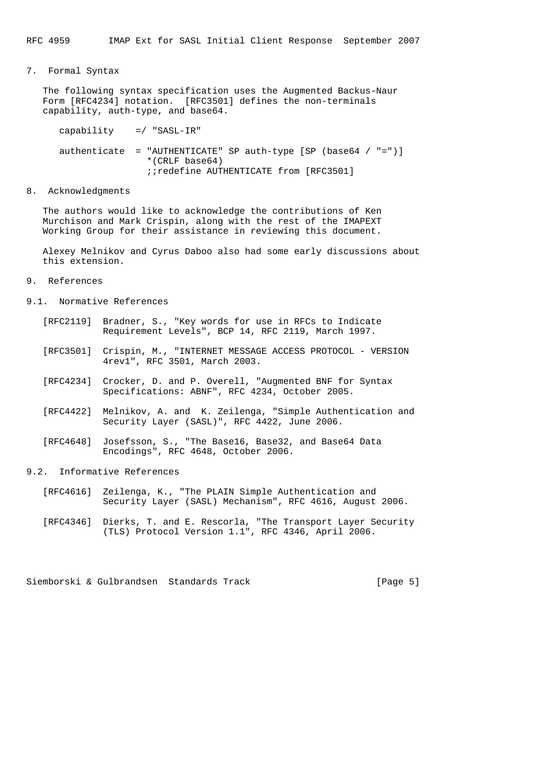# 7. Formal Syntax

 The following syntax specification uses the Augmented Backus-Naur Form [RFC4234] notation. [RFC3501] defines the non-terminals capability, auth-type, and base64.

 capability =/ "SASL-IR" authenticate = "AUTHENTICATE" SP auth-type  $[SP (base64 / "=")]$  \*(CRLF base64) ;;redefine AUTHENTICATE from [RFC3501]

### 8. Acknowledgments

 The authors would like to acknowledge the contributions of Ken Murchison and Mark Crispin, along with the rest of the IMAPEXT Working Group for their assistance in reviewing this document.

 Alexey Melnikov and Cyrus Daboo also had some early discussions about this extension.

## 9. References

- 9.1. Normative References
	- [RFC2119] Bradner, S., "Key words for use in RFCs to Indicate Requirement Levels", BCP 14, RFC 2119, March 1997.
	- [RFC3501] Crispin, M., "INTERNET MESSAGE ACCESS PROTOCOL VERSION 4rev1", RFC 3501, March 2003.
	- [RFC4234] Crocker, D. and P. Overell, "Augmented BNF for Syntax Specifications: ABNF", RFC 4234, October 2005.
	- [RFC4422] Melnikov, A. and K. Zeilenga, "Simple Authentication and Security Layer (SASL)", RFC 4422, June 2006.
	- [RFC4648] Josefsson, S., "The Base16, Base32, and Base64 Data Encodings", RFC 4648, October 2006.

# 9.2. Informative References

- [RFC4616] Zeilenga, K., "The PLAIN Simple Authentication and Security Layer (SASL) Mechanism", RFC 4616, August 2006.
- [RFC4346] Dierks, T. and E. Rescorla, "The Transport Layer Security (TLS) Protocol Version 1.1", RFC 4346, April 2006.

Siemborski & Gulbrandsen Standards Track [Page 5]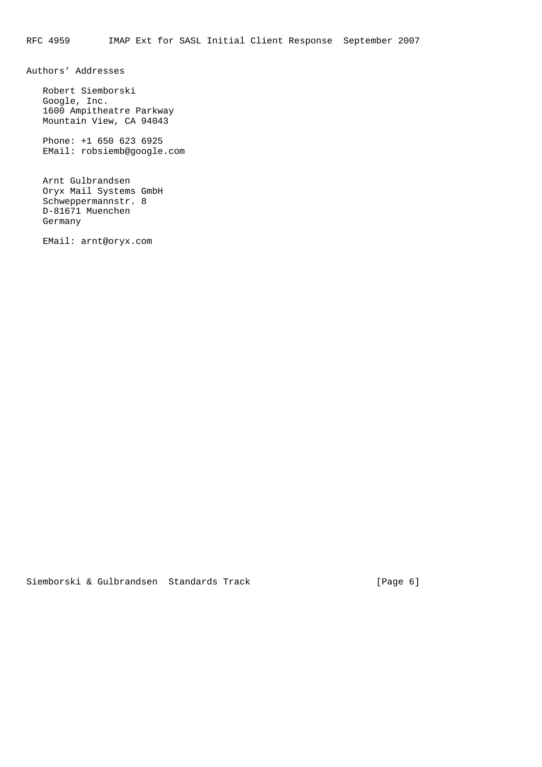Authors' Addresses

 Robert Siemborski Google, Inc. 1600 Ampitheatre Parkway Mountain View, CA 94043

 Phone: +1 650 623 6925 EMail: robsiemb@google.com

 Arnt Gulbrandsen Oryx Mail Systems GmbH Schweppermannstr. 8 D-81671 Muenchen Germany

EMail: arnt@oryx.com

Siemborski & Gulbrandsen Standards Track [Page 6]